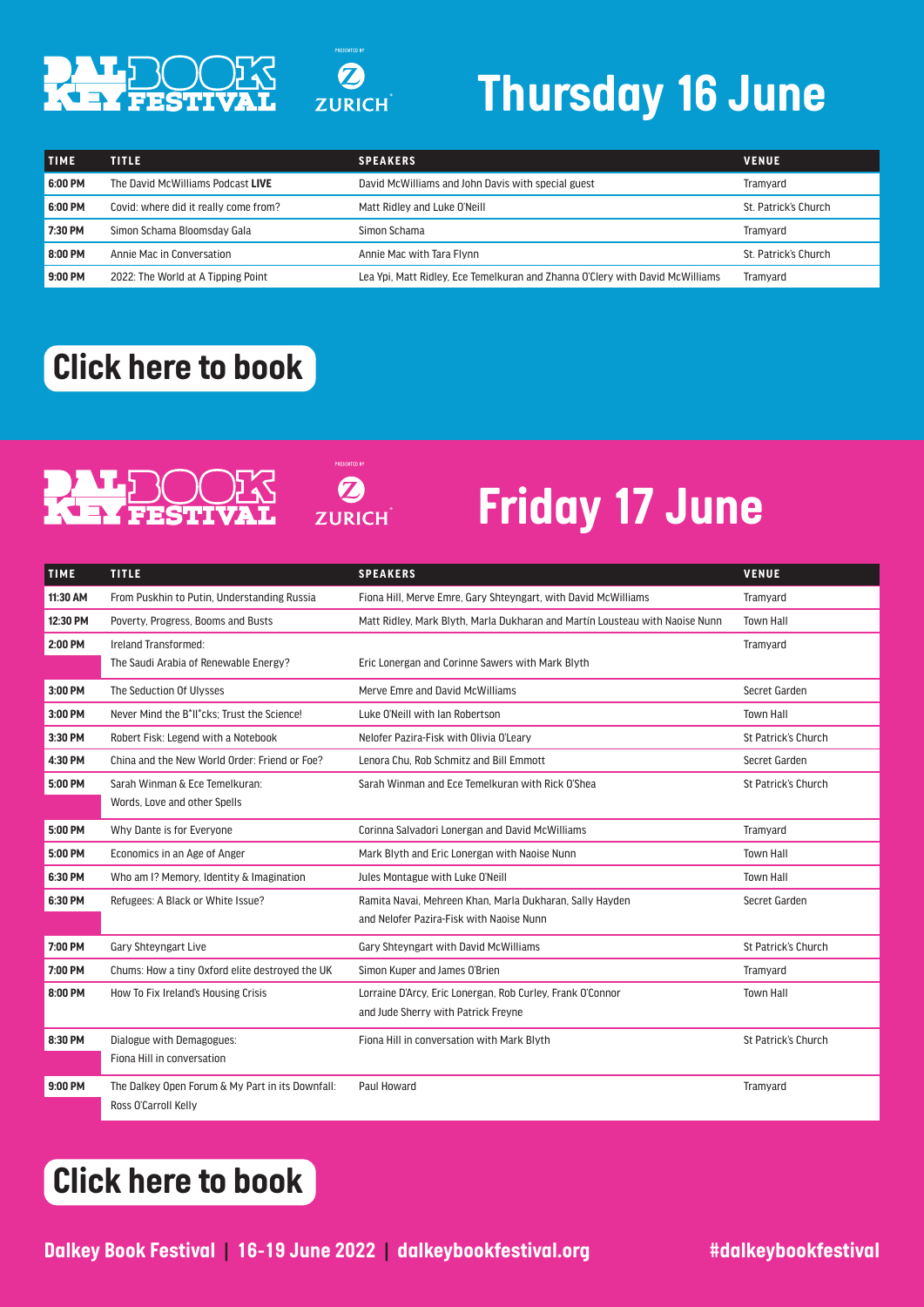

## *Thursday 16 June*

| <b>TIME</b> | <b>TITLE</b>                          | <b>SPEAKERS</b>                                                               | <b>VENUE</b>         |
|-------------|---------------------------------------|-------------------------------------------------------------------------------|----------------------|
| 6:00 PM     | The David McWilliams Podcast LIVE     | David McWilliams and John Davis with special guest                            | Tramvard             |
| 6:00 PM     | Covid: where did it really come from? | Matt Ridley and Luke O'Neill                                                  | St. Patrick's Church |
| 7:30 PM     | Simon Schama Bloomsday Gala           | Simon Schama                                                                  | Tramvard             |
| 8:00 PM     | Annie Mac in Conversation             | Annie Mac with Tara Flynn                                                     | St. Patrick's Church |
| 9:00 PM     | 2022: The World at A Tipping Point    | Lea Ypi, Matt Ridley, Ece Temelkuran and Zhanna O'Clery with David McWilliams | Tramyard             |

#### *[Click here to book](https://dalkeybookfestival.ticketsolve.com/shows)*

# PALE

**ZURICH** 

 $\boldsymbol{\Omega}$ 

**ZURICH** 

### *Friday 17 June*

| <b>TIME</b> | <b>TITLE</b>                                     | <b>SPEAKERS</b>                                                              | <b>VENUE</b>        |
|-------------|--------------------------------------------------|------------------------------------------------------------------------------|---------------------|
| 11:30 AM    | From Puskhin to Putin, Understanding Russia      | Fiona Hill, Merve Emre, Gary Shteyngart, with David McWilliams               | Tramvard            |
| 12:30 PM    | Poverty, Progress, Booms and Busts               | Matt Ridley, Mark Blyth, Marla Dukharan and Martin Lousteau with Naoise Nunn | <b>Town Hall</b>    |
| 2:00 PM     | Ireland Transformed:                             |                                                                              | Tramyard            |
|             | The Saudi Arabia of Renewable Energy?            | Eric Lonergan and Corinne Sawers with Mark Blyth                             |                     |
| 3:00 PM     | The Seduction Of Ulysses                         | Merve Emre and David McWilliams                                              | Secret Garden       |
| 3:00 PM     | Never Mind the B*II*cks; Trust the Science!      | Luke O'Neill with Ian Robertson                                              | <b>Town Hall</b>    |
| 3:30 PM     | Robert Fisk: Legend with a Notebook              | Nelofer Pazira-Fisk with Olivia O'Leary                                      | St Patrick's Church |
| 4:30 PM     | China and the New World Order: Friend or Foe?    | Lenora Chu. Rob Schmitz and Bill Emmott                                      | Secret Garden       |
| 5:00 PM     | Sarah Winman & Ece Temelkuran:                   | Sarah Winman and Ece Temelkuran with Rick O'Shea                             | St Patrick's Church |
|             | Words, Love and other Spells                     |                                                                              |                     |
| 5:00 PM     | Why Dante is for Everyone                        | Corinna Salvadori Lonergan and David McWilliams                              | Tramvard            |
| 5:00 PM     | Economics in an Age of Anger                     | Mark Blyth and Eric Lonergan with Naoise Nunn                                | <b>Town Hall</b>    |
| 6:30 PM     | Who am I? Memory, Identity & Imagination         | Jules Montague with Luke O'Neill                                             | <b>Town Hall</b>    |
| 6:30 PM     | Refugees: A Black or White Issue?                | Ramita Navai, Mehreen Khan, Marla Dukharan, Sally Hayden                     | Secret Garden       |
|             |                                                  | and Nelofer Pazira-Fisk with Naoise Nunn                                     |                     |
| 7:00 PM     | <b>Gary Shtevngart Live</b>                      | Gary Shteyngart with David McWilliams                                        | St Patrick's Church |
| 7:00 PM     | Chums: How a tiny Oxford elite destroyed the UK  | Simon Kuper and James O'Brien                                                | Tramyard            |
| 8:00 PM     | How To Fix Ireland's Housing Crisis              | Lorraine D'Arcy, Eric Lonergan, Rob Curley, Frank O'Connor                   | <b>Town Hall</b>    |
|             |                                                  | and Jude Sherry with Patrick Freyne                                          |                     |
| 8:30 PM     | Dialogue with Demagogues:                        | Fiona Hill in conversation with Mark Blyth                                   | St Patrick's Church |
|             | Fiona Hill in conversation                       |                                                                              |                     |
| 9:00 PM     | The Dalkey Open Forum & My Part in its Downfall: | Paul Howard                                                                  | Tramyard            |
|             | Ross O'Carroll Kelly                             |                                                                              |                     |

#### *[Click here to book](https://dalkeybookfestival.ticketsolve.com/shows)*

**Dalkey Book Festival | 16-19 June 2022 | dalkeybookfestival.org #dalkeybookfestival**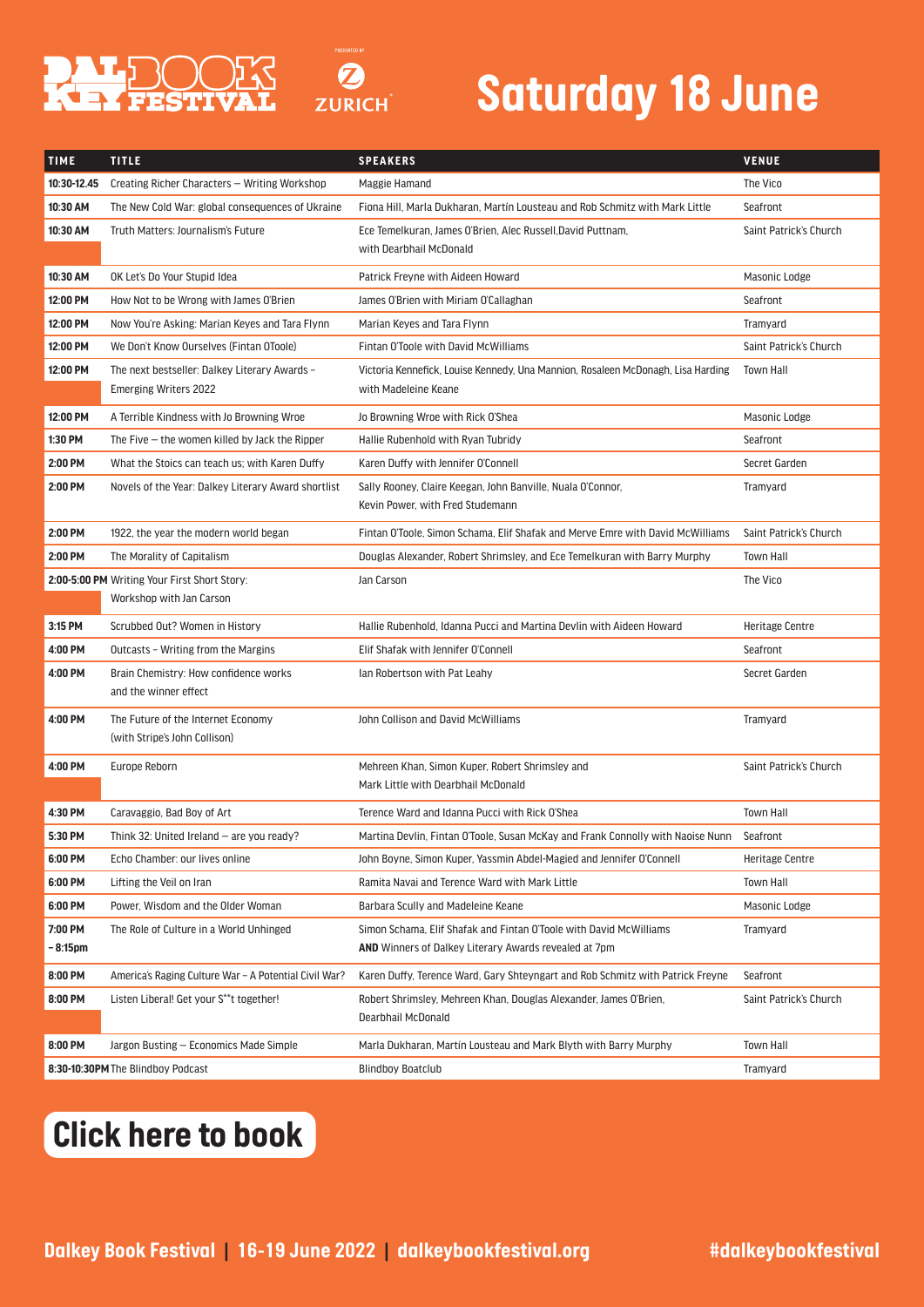

 $\boldsymbol{\Omega}$ **ZURICH** 



| <b>TIME</b> | <b>TITLE</b>                                                                  | <b>SPEAKERS</b>                                                                                          | <b>VENUE</b>           |
|-------------|-------------------------------------------------------------------------------|----------------------------------------------------------------------------------------------------------|------------------------|
| 10:30-12.45 | Creating Richer Characters - Writing Workshop                                 | Maggie Hamand                                                                                            | The Vico               |
| 10:30 AM    | The New Cold War: global consequences of Ukraine                              | Fiona Hill, Marla Dukharan, Martín Lousteau and Rob Schmitz with Mark Little                             | Seafront               |
| 10:30 AM    | Truth Matters: Journalism's Future                                            | Ece Temelkuran, James O'Brien, Alec Russell, David Puttnam,                                              | Saint Patrick's Church |
|             |                                                                               | with Dearbhail McDonald                                                                                  |                        |
| 10:30 AM    | OK Let's Do Your Stupid Idea                                                  | Patrick Freyne with Aideen Howard                                                                        | Masonic Lodge          |
| 12:00 PM    | How Not to be Wrong with James O'Brien                                        | James O'Brien with Miriam O'Callaghan                                                                    | Seafront               |
| 12:00 PM    | Now You're Asking: Marian Keyes and Tara Flynn                                | Marian Keyes and Tara Flynn                                                                              | Tramyard               |
| 12:00 PM    | We Don't Know Ourselves (Fintan OToole)                                       | Fintan O'Toole with David McWilliams                                                                     | Saint Patrick's Church |
| 12:00 PM    | The next bestseller: Dalkey Literary Awards -<br><b>Emerging Writers 2022</b> | Victoria Kennefick, Louise Kennedy, Una Mannion, Rosaleen McDonagh, Lisa Harding<br>with Madeleine Keane | <b>Town Hall</b>       |
| 12:00 PM    | A Terrible Kindness with Jo Browning Wroe                                     | Jo Browning Wroe with Rick O'Shea                                                                        | Masonic Lodge          |
| 1:30 PM     | The Five $-$ the women killed by Jack the Ripper                              | Hallie Rubenhold with Ryan Tubridy                                                                       | Seafront               |
| 2:00 PM     | What the Stoics can teach us; with Karen Duffy                                | Karen Duffy with Jennifer O'Connell                                                                      | Secret Garden          |
| 2:00 PM     | Novels of the Year: Dalkey Literary Award shortlist                           | Sally Rooney, Claire Keegan, John Banville, Nuala O'Connor,<br>Kevin Power, with Fred Studemann          | Tramyard               |
| 2:00 PM     | 1922, the year the modern world began                                         | Fintan O'Toole, Simon Schama, Elif Shafak and Merve Emre with David McWilliams                           | Saint Patrick's Church |
| 2:00 PM     | The Morality of Capitalism                                                    | Douglas Alexander, Robert Shrimsley, and Ece Temelkuran with Barry Murphy                                | <b>Town Hall</b>       |
|             | 2:00-5:00 PM Writing Your First Short Story:                                  | Jan Carson                                                                                               | The Vico               |
|             | Workshop with Jan Carson                                                      |                                                                                                          |                        |
| 3:15 PM     | Scrubbed Out? Women in History                                                | Hallie Rubenhold, Idanna Pucci and Martina Devlin with Aideen Howard                                     | <b>Heritage Centre</b> |
| 4:00 PM     | Outcasts - Writing from the Margins                                           | Elif Shafak with Jennifer O'Connell                                                                      | Seafront               |
| 4:00 PM     | Brain Chemistry: How confidence works<br>and the winner effect                | lan Robertson with Pat Leahy                                                                             | Secret Garden          |
| 4:00 PM     | The Future of the Internet Economy<br>(with Stripe's John Collison)           | John Collison and David McWilliams                                                                       | Tramyard               |
| 4:00 PM     | Europe Reborn                                                                 | Mehreen Khan, Simon Kuper, Robert Shrimsley and<br>Mark Little with Dearbhail McDonald                   | Saint Patrick's Church |
| 4:30 PM     | Caravaggio, Bad Boy of Art                                                    | Terence Ward and Idanna Pucci with Rick O'Shea                                                           | <b>Town Hall</b>       |
| 5:30 PM     | Think 32: United Ireland - are you ready?                                     | Martina Devlin, Fintan O'Toole, Susan McKay and Frank Connolly with Naoise Nunn                          | Seafront               |
| 6:00 PM     | Echo Chamber: our lives online                                                | John Boyne, Simon Kuper, Yassmin Abdel-Magied and Jennifer O'Connell                                     | <b>Heritage Centre</b> |
| 6:00 PM     | Lifting the Veil on Iran                                                      | Ramita Navai and Terence Ward with Mark Little                                                           | <b>Town Hall</b>       |
| 6:00 PM     | Power, Wisdom and the Older Woman                                             | Barbara Scully and Madeleine Keane                                                                       | Masonic Lodge          |
| 7:00 PM     | The Role of Culture in a World Unhinged                                       | Simon Schama, Elif Shafak and Fintan O'Toole with David McWilliams                                       | Tramyard               |
| – 8:15pm    |                                                                               | <b>AND</b> Winners of Dalkey Literary Awards revealed at 7pm                                             |                        |
| 8:00 PM     | America's Raging Culture War - A Potential Civil War?                         | Karen Duffy, Terence Ward, Gary Shteyngart and Rob Schmitz with Patrick Freyne                           | Seafront               |
| 8:00 PM     | Listen Liberal! Get your S**t together!                                       | Robert Shrimsley, Mehreen Khan, Douglas Alexander, James O'Brien,<br>Dearbhail McDonald                  | Saint Patrick's Church |
| 8:00 PM     | Jargon Busting – Economics Made Simple                                        | Marla Dukharan, Martín Lousteau and Mark Blyth with Barry Murphy                                         | <b>Town Hall</b>       |
|             | 8:30-10:30PM The Blindboy Podcast                                             | <b>Blindboy Boatclub</b>                                                                                 | Tramyard               |

#### *[Click here to book](https://dalkeybookfestival.ticketsolve.com/shows)*